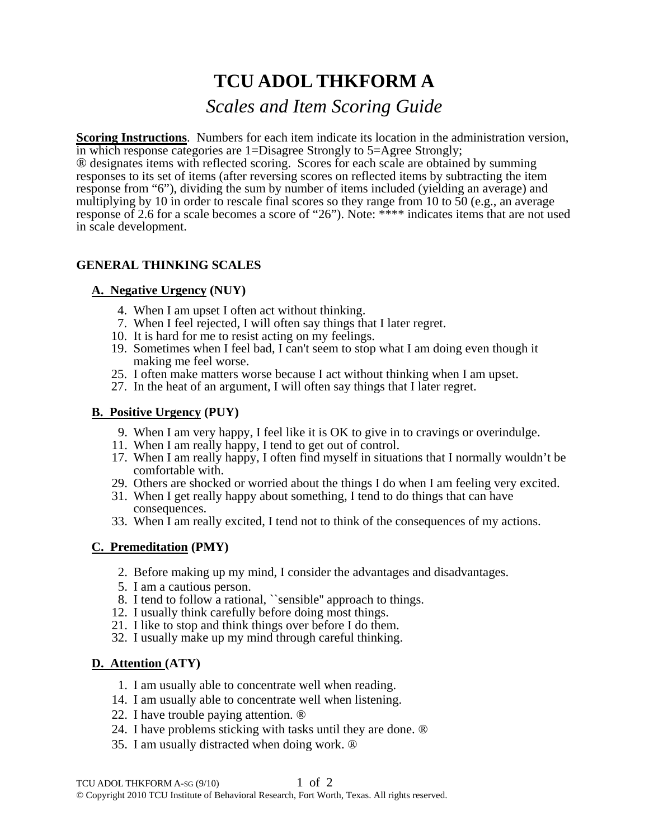# **TCU ADOL THKFORM A**

# *Scales and Item Scoring Guide*

**Scoring Instructions**. Numbers for each item indicate its location in the administration version, in which response categories are 1=Disagree Strongly to 5=Agree Strongly;

® designates items with reflected scoring. Scores for each scale are obtained by summing responses to its set of items (after reversing scores on reflected items by subtracting the item response from "6"), dividing the sum by number of items included (yielding an average) and multiplying by 10 in order to rescale final scores so they range from 10 to 50 (e.g., an average response of 2.6 for a scale becomes a score of "26"). Note: \*\*\*\* indicates items that are not used in scale development.

# **GENERAL THINKING SCALES**

## **A. Negative Urgency (NUY)**

- 4. When I am upset I often act without thinking.
- 7. When I feel rejected, I will often say things that I later regret.
- 10. It is hard for me to resist acting on my feelings.
- 19. Sometimes when I feel bad, I can't seem to stop what I am doing even though it making me feel worse.
- 25. I often make matters worse because I act without thinking when I am upset.
- 27. In the heat of an argument, I will often say things that I later regret.

## **B. Positive Urgency (PUY)**

- 9. When I am very happy, I feel like it is OK to give in to cravings or overindulge.
- 11. When I am really happy, I tend to get out of control.
- 17. When I am really happy, I often find myself in situations that I normally wouldn't be comfortable with.
- 29. Others are shocked or worried about the things I do when I am feeling very excited.
- 31. When I get really happy about something, I tend to do things that can have consequences.
- 33. When I am really excited, I tend not to think of the consequences of my actions.

# **C. Premeditation (PMY)**

- 2. Before making up my mind, I consider the advantages and disadvantages.
- 5. I am a cautious person.
- 8. I tend to follow a rational, ``sensible'' approach to things.
- 12. I usually think carefully before doing most things.
- 21. I like to stop and think things over before I do them.
- 32. I usually make up my mind through careful thinking.

#### **D. Attention (ATY)**

- 1. I am usually able to concentrate well when reading.
- 14. I am usually able to concentrate well when listening.
- 22. I have trouble paying attention. ®
- 24. I have problems sticking with tasks until they are done. ®
- 35. I am usually distracted when doing work. ®